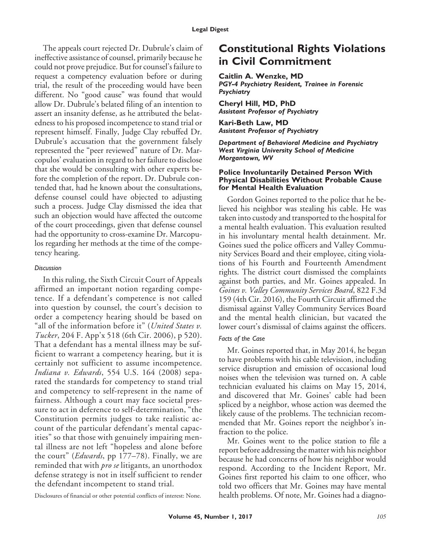The appeals court rejected Dr. Dubrule's claim of ineffective assistance of counsel, primarily because he could not prove prejudice. But for counsel's failure to request a competency evaluation before or during trial, the result of the proceeding would have been different. No "good cause" was found that would allow Dr. Dubrule's belated filing of an intention to assert an insanity defense, as he attributed the belatedness to his proposed incompetence to stand trial or represent himself. Finally, Judge Clay rebuffed Dr. Dubrule's accusation that the government falsely represented the "peer reviewed" nature of Dr. Marcopulos' evaluation in regard to her failure to disclose that she would be consulting with other experts before the completion of the report. Dr. Dubrule contended that, had he known about the consultations, defense counsel could have objected to adjusting such a process. Judge Clay dismissed the idea that such an objection would have affected the outcome of the court proceedings, given that defense counsel had the opportunity to cross-examine Dr. Marcopulos regarding her methods at the time of the competency hearing.

### *Discussion*

In this ruling, the Sixth Circuit Court of Appeals affirmed an important notion regarding competence. If a defendant's competence is not called into question by counsel, the court's decision to order a competency hearing should be based on "all of the information before it" (*United States v. Tucker*, 204 F. App'x 518 (6th Cir. 2006), p 520). That a defendant has a mental illness may be sufficient to warrant a competency hearing, but it is certainly not sufficient to assume incompetence. *Indiana v. Edwards*, 554 U.S. 164 (2008) separated the standards for competency to stand trial and competency to self-represent in the name of fairness. Although a court may face societal pressure to act in deference to self-determination, "the Constitution permits judges to take realistic account of the particular defendant's mental capacities" so that those with genuinely impairing mental illness are not left "hopeless and alone before the court" (*Edwards*, pp 177–78). Finally, we are reminded that with *pro se* litigants, an unorthodox defense strategy is not in itself sufficient to render the defendant incompetent to stand trial.

Disclosures of financial or other potential conflicts of interest: None.

# **Constitutional Rights Violations in Civil Commitment**

**Caitlin A. Wenzke, MD** *PGY-4 Psychiatry Resident, Trainee in Forensic Psychiatry*

**Cheryl Hill, MD, PhD** *Assistant Professor of Psychiatry*

**Kari-Beth Law, MD** *Assistant Professor of Psychiatry*

*Department of Behavioral Medicine and Psychiatry West Virginia University School of Medicine Morgantown, WV*

#### **Police Involuntarily Detained Person With Physical Disabilities Without Probable Cause for Mental Health Evaluation**

Gordon Goines reported to the police that he believed his neighbor was stealing his cable. He was taken into custody and transported to the hospital for a mental health evaluation. This evaluation resulted in his involuntary mental health detainment. Mr. Goines sued the police officers and Valley Community Services Board and their employee, citing violations of his Fourth and Fourteenth Amendment rights. The district court dismissed the complaints against both parties, and Mr. Goines appealed. In *Goines v. Valley Community Services Board*, 822 F.3d 159 (4th Cir. 2016), the Fourth Circuit affirmed the dismissal against Valley Community Services Board and the mental health clinician, but vacated the lower court's dismissal of claims against the officers.

## *Facts of the Case*

Mr. Goines reported that, in May 2014, he began to have problems with his cable television, including service disruption and emission of occasional loud noises when the television was turned on. A cable technician evaluated his claims on May 15, 2014, and discovered that Mr. Goines' cable had been spliced by a neighbor, whose action was deemed the likely cause of the problems. The technician recommended that Mr. Goines report the neighbor's infraction to the police.

Mr. Goines went to the police station to file a report before addressing the matter with his neighbor because he had concerns of how his neighbor would respond. According to the Incident Report, Mr. Goines first reported his claim to one officer, who told two officers that Mr. Goines may have mental health problems. Of note, Mr. Goines had a diagno-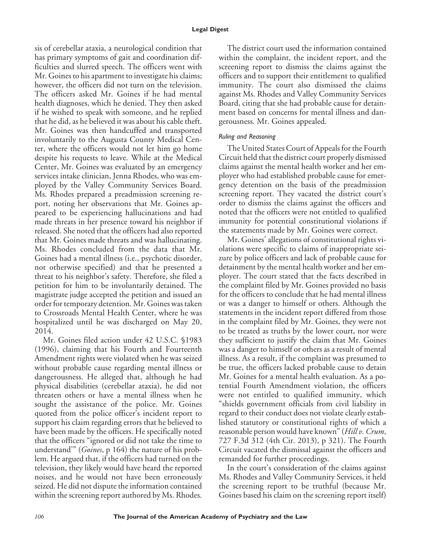### **Legal Digest**

sis of cerebellar ataxia, a neurological condition that has primary symptoms of gait and coordination difficulties and slurred speech. The officers went with Mr. Goines to his apartment to investigate his claims; however, the officers did not turn on the television. The officers asked Mr. Goines if he had mental health diagnoses, which he denied. They then asked if he wished to speak with someone, and he replied that he did, as he believed it was about his cable theft. Mr. Goines was then handcuffed and transported involuntarily to the Augusta County Medical Center, where the officers would not let him go home despite his requests to leave. While at the Medical Center, Mr. Goines was evaluated by an emergency services intake clinician, Jenna Rhodes, who was employed by the Valley Community Services Board. Ms. Rhodes prepared a preadmission screening report, noting her observations that Mr. Goines appeared to be experiencing hallucinations and had made threats in her presence toward his neighbor if released. She noted that the officers had also reported that Mr. Goines made threats and was hallucinating. Ms. Rhodes concluded from the data that Mr. Goines had a mental illness (i.e., psychotic disorder, not otherwise specified) and that he presented a threat to his neighbor's safety. Therefore, she filed a petition for him to be involuntarily detained. The magistrate judge accepted the petition and issued an order for temporary detention. Mr. Goines was taken to Crossroads Mental Health Center, where he was hospitalized until he was discharged on May 20, 2014.

Mr. Goines filed action under 42 U.S.C. §1983 (1996), claiming that his Fourth and Fourteenth Amendment rights were violated when he was seized without probable cause regarding mental illness or dangerousness. He alleged that, although he had physical disabilities (cerebellar ataxia), he did not threaten others or have a mental illness when he sought the assistance of the police. Mr. Goines quoted from the police officer's incident report to support his claim regarding errors that he believed to have been made by the officers. He specifically noted that the officers "ignored or did not take the time to understand'" (*Goines*, p 164) the nature of his problem. He argued that, if the officers had turned on the television, they likely would have heard the reported noises, and he would not have been erroneously seized. He did not dispute the information contained within the screening report authored by Ms. Rhodes.

The district court used the information contained within the complaint, the incident report, and the screening report to dismiss the claims against the officers and to support their entitlement to qualified immunity. The court also dismissed the claims against Ms. Rhodes and Valley Community Services Board, citing that she had probable cause for detainment based on concerns for mental illness and dangerousness. Mr. Goines appealed.

## *Ruling and Reasoning*

The United States Court of Appeals for the Fourth Circuit held that the district court properly dismissed claims against the mental health worker and her employer who had established probable cause for emergency detention on the basis of the preadmission screening report. They vacated the district court's order to dismiss the claims against the officers and noted that the officers were not entitled to qualified immunity for potential constitutional violations if the statements made by Mr. Goines were correct.

Mr. Goines' allegations of constitutional rights violations were specific to claims of inappropriate seizure by police officers and lack of probable cause for detainment by the mental health worker and her employer. The court stated that the facts described in the complaint filed by Mr. Goines provided no basis for the officers to conclude that he had mental illness or was a danger to himself or others. Although the statements in the incident report differed from those in the complaint filed by Mr. Goines, they were not to be treated as truths by the lower court, nor were they sufficient to justify the claim that Mr. Goines was a danger to himself or others as a result of mental illness. As a result, if the complaint was presumed to be true, the officers lacked probable cause to detain Mr. Goines for a mental health evaluation. As a potential Fourth Amendment violation, the officers were not entitled to qualified immunity, which "shields government officials from civil liability in regard to their conduct does not violate clearly established statutory or constitutional rights of which a reasonable person would have known" (*Hill v. Crum*, 727 F.3d 312 (4th Cir. 2013), p 321). The Fourth Circuit vacated the dismissal against the officers and remanded for further proceedings.

In the court's consideration of the claims against Ms. Rhodes and Valley Community Services, it held the screening report to be truthful (because Mr. Goines based his claim on the screening report itself)